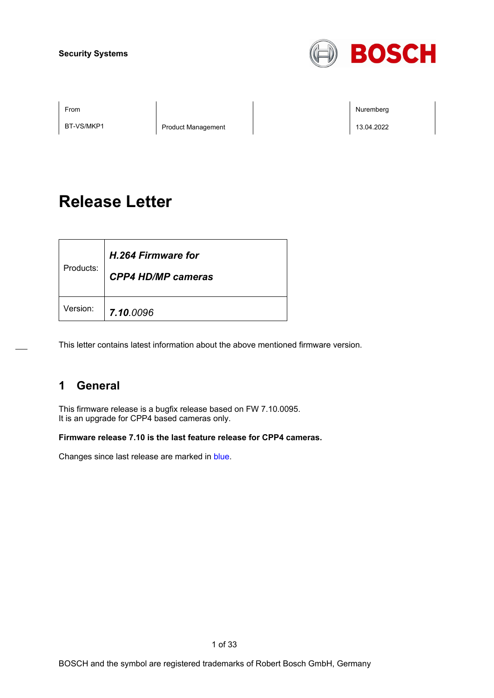

BT-VS/MKP1 Product Management 20022

From the second contract of the second contract of the second contract of the second contract of the second contract of the second contract of the second contract of the second contract of the second contract of the second

# **Release Letter**

| Products: | H.264 Firmware for<br><b>CPP4 HD/MP cameras</b> |
|-----------|-------------------------------------------------|
| Version:  | 7.10.0096                                       |

This letter contains latest information about the above mentioned firmware version.

## **1 General**

This firmware release is a bugfix release based on FW 7.10.0095. It is an upgrade for CPP4 based cameras only.

**Firmware release 7.10 is the last feature release for CPP4 cameras.**

Changes since last release are marked in blue.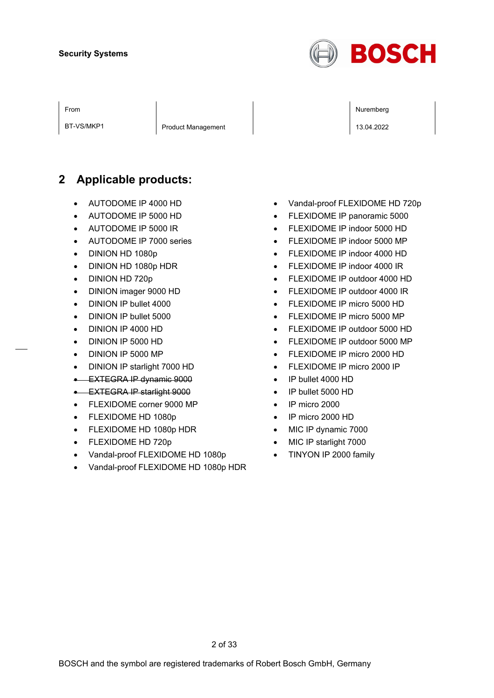

BT-VS/MKP1 Product Management 20022

From the second contract of the second contract of the second contract of the second contract of the second contract of the second contract of the second contract of the second contract of the second contract of the second

## **2 Applicable products:**

- AUTODOME IP 4000 HD
- AUTODOME IP 5000 HD
- AUTODOME IP 5000 IR
- AUTODOME IP 7000 series
- DINION HD 1080p
- DINION HD 1080p HDR
- DINION HD 720p
- DINION imager 9000 HD
- DINION IP bullet 4000
- DINION IP bullet 5000
- DINION IP 4000 HD
- DINION IP 5000 HD
- DINION IP 5000 MP
- DINION IP starlight 7000 HD
- EXTEGRA IP dynamic 9000
- EXTEGRA IP starlight 9000
- FLEXIDOME corner 9000 MP
- FLEXIDOME HD 1080p
- FLEXIDOME HD 1080p HDR
- FLEXIDOME HD 720p
- Vandal-proof FLEXIDOME HD 1080p
- Vandal-proof FLEXIDOME HD 1080p HDR
- Vandal-proof FLEXIDOME HD 720p
- FLEXIDOME IP panoramic 5000
- FLEXIDOME IP indoor 5000 HD
- FLEXIDOME IP indoor 5000 MP
- FLEXIDOME IP indoor 4000 HD
- FLEXIDOME IP indoor 4000 IR
- FLEXIDOME IP outdoor 4000 HD
- FLEXIDOME IP outdoor 4000 IR
- FLEXIDOME IP micro 5000 HD
- FLEXIDOME IP micro 5000 MP
- FLEXIDOME IP outdoor 5000 HD
- FLEXIDOME IP outdoor 5000 MP
- FLEXIDOME IP micro 2000 HD
- FLEXIDOME IP micro 2000 IP
- IP bullet 4000 HD
- IP bullet 5000 HD
- IP micro 2000
- IP micro 2000 HD
- MIC IP dynamic 7000
- MIC IP starlight 7000
- TINYON IP 2000 family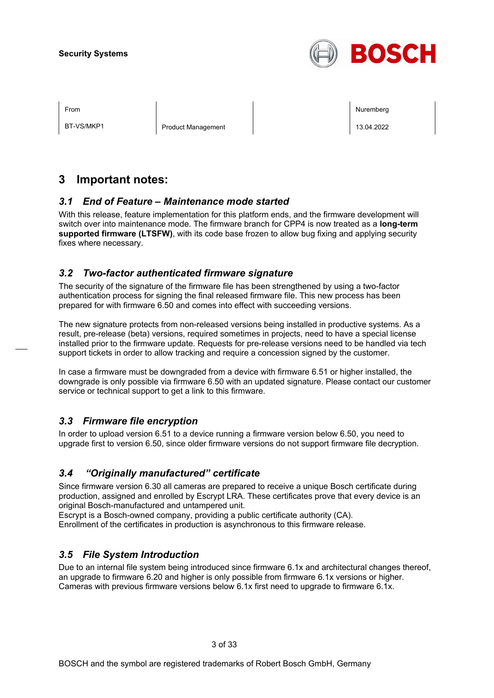

BT-VS/MKP1 Product Management 20022

From the second contract of the second contract of the second contract of the second contract of the second contract of the second contract of the second contract of the second contract of the second contract of the second

## **3 Important notes:**

## *3.1 End of Feature – Maintenance mode started*

With this release, feature implementation for this platform ends, and the firmware development will switch over into maintenance mode. The firmware branch for CPP4 is now treated as a **long-term supported firmware (LTSFW)**, with its code base frozen to allow bug fixing and applying security fixes where necessary.

## *3.2 Two-factor authenticated firmware signature*

The security of the signature of the firmware file has been strengthened by using a two-factor authentication process for signing the final released firmware file. This new process has been prepared for with firmware 6.50 and comes into effect with succeeding versions.

The new signature protects from non-released versions being installed in productive systems. As a result, pre-release (beta) versions, required sometimes in projects, need to have a special license installed prior to the firmware update. Requests for pre-release versions need to be handled via tech support tickets in order to allow tracking and require a concession signed by the customer.

In case a firmware must be downgraded from a device with firmware 6.51 or higher installed, the downgrade is only possible via firmware 6.50 with an updated signature. Please contact our customer service or technical support to get a link to this firmware.

## *3.3 Firmware file encryption*

In order to upload version 6.51 to a device running a firmware version below 6.50, you need to upgrade first to version 6.50, since older firmware versions do not support firmware file decryption.

## *3.4 "Originally manufactured" certificate*

Since firmware version 6.30 all cameras are prepared to receive a unique Bosch certificate during production, assigned and enrolled by Escrypt LRA. These certificates prove that every device is an original Bosch-manufactured and untampered unit.

Escrypt is a Bosch-owned company, providing a public certificate authority (CA).

Enrollment of the certificates in production is asynchronous to this firmware release.

## *3.5 File System Introduction*

Due to an internal file system being introduced since firmware 6.1x and architectural changes thereof, an upgrade to firmware 6.20 and higher is only possible from firmware 6.1x versions or higher. Cameras with previous firmware versions below 6.1x first need to upgrade to firmware 6.1x.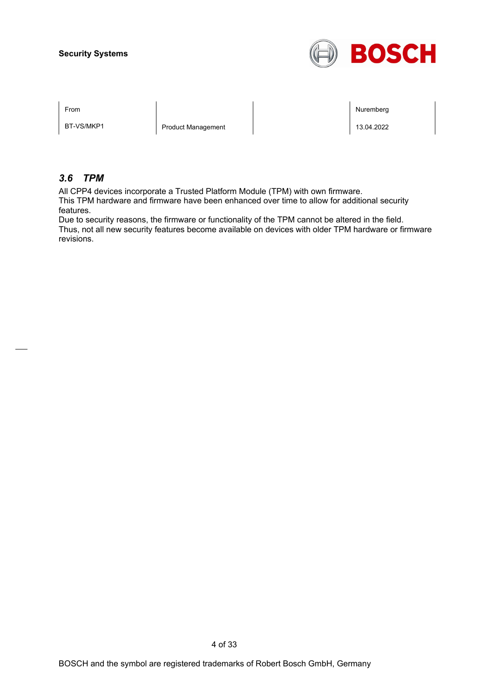

BT-VS/MKP1 Product Management 20022

From the second contract of the second contract of the second contract of the second contract of the second contract of the second contract of the second contract of the second contract of the second contract of the second

## *3.6 TPM*

All CPP4 devices incorporate a Trusted Platform Module (TPM) with own firmware.

This TPM hardware and firmware have been enhanced over time to allow for additional security features.

Due to security reasons, the firmware or functionality of the TPM cannot be altered in the field. Thus, not all new security features become available on devices with older TPM hardware or firmware revisions.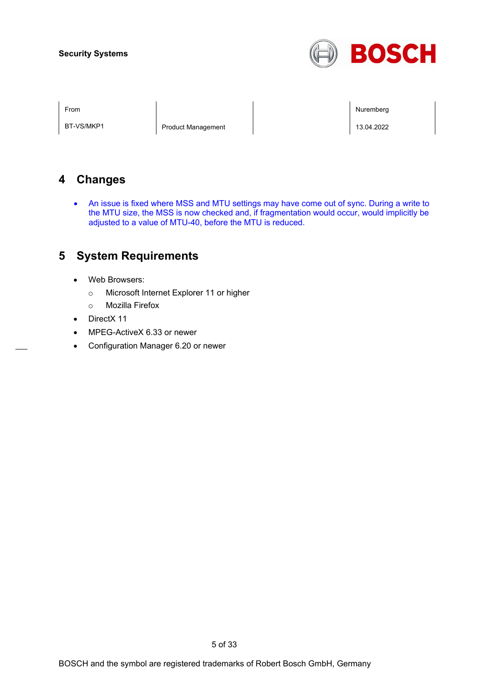

BT-VS/MKP1 Product Management 20022

From the second contract of the second contract of the second contract of the second contract of the second contract of the second contract of the second contract of the second contract of the second contract of the second

## **4 Changes**

• An issue is fixed where MSS and MTU settings may have come out of sync. During a write to the MTU size, the MSS is now checked and, if fragmentation would occur, would implicitly be adjusted to a value of MTU-40, before the MTU is reduced.

## **5 System Requirements**

- Web Browsers:
	- o Microsoft Internet Explorer 11 or higher
	- o Mozilla Firefox
- DirectX 11
- MPEG-ActiveX 6.33 or newer
- Configuration Manager 6.20 or newer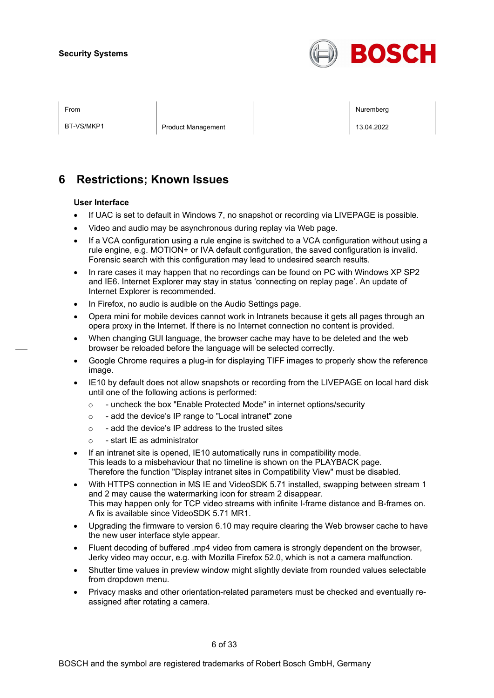

BT-VS/MKP1 Product Management 20022

From the second contract of the second contract of the second contract of the second contract of the second contract of the second contract of the second contract of the second contract of the second contract of the second

## **6 Restrictions; Known Issues**

#### **User Interface**

- If UAC is set to default in Windows 7, no snapshot or recording via LIVEPAGE is possible.
- Video and audio may be asynchronous during replay via Web page.
- If a VCA configuration using a rule engine is switched to a VCA configuration without using a rule engine, e.g. MOTION+ or IVA default configuration, the saved configuration is invalid. Forensic search with this configuration may lead to undesired search results.
- In rare cases it may happen that no recordings can be found on PC with Windows XP SP2 and IE6. Internet Explorer may stay in status 'connecting on replay page'. An update of Internet Explorer is recommended.
- In Firefox, no audio is audible on the Audio Settings page.
- Opera mini for mobile devices cannot work in Intranets because it gets all pages through an opera proxy in the Internet. If there is no Internet connection no content is provided.
- When changing GUI language, the browser cache may have to be deleted and the web browser be reloaded before the language will be selected correctly.
- Google Chrome requires a plug-in for displaying TIFF images to properly show the reference image.
- IE10 by default does not allow snapshots or recording from the LIVEPAGE on local hard disk until one of the following actions is performed:
	- o uncheck the box "Enable Protected Mode" in internet options/security
	- o add the device's IP range to "Local intranet" zone
	- $\circ$  add the device's IP address to the trusted sites
	- o start IE as administrator
- If an intranet site is opened, IE10 automatically runs in compatibility mode. This leads to a misbehaviour that no timeline is shown on the PLAYBACK page. Therefore the function "Display intranet sites in Compatibility View" must be disabled.
- With HTTPS connection in MS IE and VideoSDK 5.71 installed, swapping between stream 1 and 2 may cause the watermarking icon for stream 2 disappear. This may happen only for TCP video streams with infinite I-frame distance and B-frames on. A fix is available since VideoSDK 5.71 MR1.
- Upgrading the firmware to version 6.10 may require clearing the Web browser cache to have the new user interface style appear.
- Fluent decoding of buffered .mp4 video from camera is strongly dependent on the browser, Jerky video may occur, e.g. with Mozilla Firefox 52.0, which is not a camera malfunction.
- Shutter time values in preview window might slightly deviate from rounded values selectable from dropdown menu.
- Privacy masks and other orientation-related parameters must be checked and eventually reassigned after rotating a camera.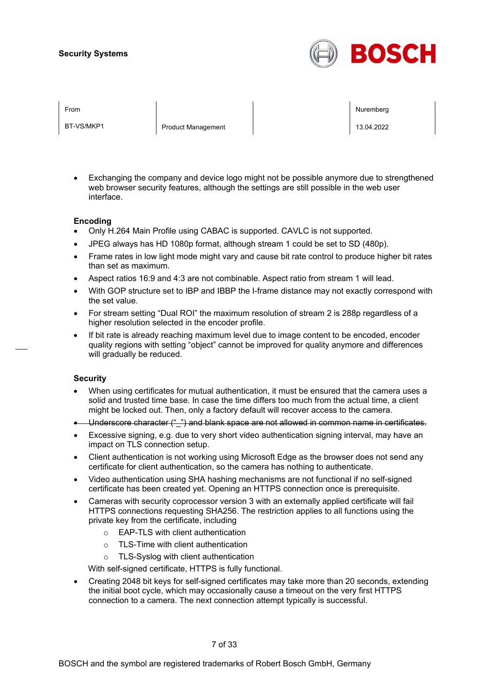

BT-VS/MKP1 Product Management 20022

From Nuremberg (Nuremberg ) and the contract of the contract of the contract of the contract of the contract of the contract of the contract of the contract of the contract of the contract of the contract of the contract o

• Exchanging the company and device logo might not be possible anymore due to strengthened web browser security features, although the settings are still possible in the web user interface.

#### **Encoding**

- Only H.264 Main Profile using CABAC is supported. CAVLC is not supported.
- JPEG always has HD 1080p format, although stream 1 could be set to SD (480p).
- Frame rates in low light mode might vary and cause bit rate control to produce higher bit rates than set as maximum.
- Aspect ratios 16:9 and 4:3 are not combinable. Aspect ratio from stream 1 will lead.
- With GOP structure set to IBP and IBBP the I-frame distance may not exactly correspond with the set value.
- For stream setting "Dual ROI" the maximum resolution of stream 2 is 288p regardless of a higher resolution selected in the encoder profile.
- If bit rate is already reaching maximum level due to image content to be encoded, encoder quality regions with setting "object" cannot be improved for quality anymore and differences will gradually be reduced.

#### **Security**

- When using certificates for mutual authentication, it must be ensured that the camera uses a solid and trusted time base. In case the time differs too much from the actual time, a client might be locked out. Then, only a factory default will recover access to the camera.
- Underscore character ("\_") and blank space are not allowed in common name in certificates.
- Excessive signing, e.g. due to very short video authentication signing interval, may have an impact on TLS connection setup.
- Client authentication is not working using Microsoft Edge as the browser does not send any certificate for client authentication, so the camera has nothing to authenticate.
- Video authentication using SHA hashing mechanisms are not functional if no self-signed certificate has been created yet. Opening an HTTPS connection once is prerequisite.
- Cameras with security coprocessor version 3 with an externally applied certificate will fail HTTPS connections requesting SHA256. The restriction applies to all functions using the private key from the certificate, including
	- o EAP-TLS with client authentication
	- o TLS-Time with client authentication
	- o TLS-Syslog with client authentication

With self-signed certificate, HTTPS is fully functional.

• Creating 2048 bit keys for self-signed certificates may take more than 20 seconds, extending the initial boot cycle, which may occasionally cause a timeout on the very first HTTPS connection to a camera. The next connection attempt typically is successful.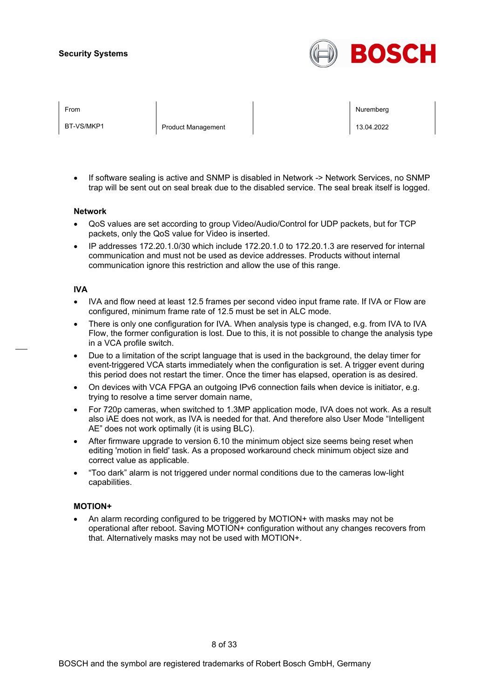

BT-VS/MKP1 Product Management 20022

From Nuremberg (Nuremberg ) and the contract of the contract of the contract of the contract of the contract of the contract of the contract of the contract of the contract of the contract of the contract of the contract o

If software sealing is active and SNMP is disabled in Network -> Network Services, no SNMP trap will be sent out on seal break due to the disabled service. The seal break itself is logged.

#### **Network**

- QoS values are set according to group Video/Audio/Control for UDP packets, but for TCP packets, only the QoS value for Video is inserted.
- IP addresses 172.20.1.0/30 which include 172.20.1.0 to 172.20.1.3 are reserved for internal communication and must not be used as device addresses. Products without internal communication ignore this restriction and allow the use of this range.

#### **IVA**

- IVA and flow need at least 12.5 frames per second video input frame rate. If IVA or Flow are configured, minimum frame rate of 12.5 must be set in ALC mode.
- There is only one configuration for IVA. When analysis type is changed, e.g. from IVA to IVA Flow, the former configuration is lost. Due to this, it is not possible to change the analysis type in a VCA profile switch.
- Due to a limitation of the script language that is used in the background, the delay timer for event-triggered VCA starts immediately when the configuration is set. A trigger event during this period does not restart the timer. Once the timer has elapsed, operation is as desired.
- On devices with VCA FPGA an outgoing IPv6 connection fails when device is initiator, e.g. trying to resolve a time server domain name,
- For 720p cameras, when switched to 1.3MP application mode, IVA does not work. As a result also iAE does not work, as IVA is needed for that. And therefore also User Mode "Intelligent AE" does not work optimally (it is using BLC).
- After firmware upgrade to version 6.10 the minimum object size seems being reset when editing 'motion in field' task. As a proposed workaround check minimum object size and correct value as applicable.
- "Too dark" alarm is not triggered under normal conditions due to the cameras low-light capabilities.

#### **MOTION+**

• An alarm recording configured to be triggered by MOTION+ with masks may not be operational after reboot. Saving MOTION+ configuration without any changes recovers from that. Alternatively masks may not be used with MOTION+.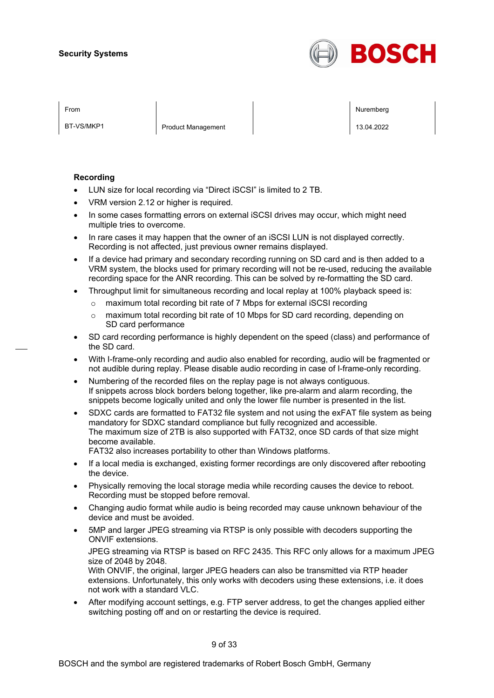

BT-VS/MKP1 Product Management 20022

From Nuremberg (Nuremberg ) and the contract of the contract of the contract of the contract of the contract of the contract of the contract of the contract of the contract of the contract of the contract of the contract o

#### **Recording**

- LUN size for local recording via "Direct iSCSI" is limited to 2 TB.
- VRM version 2.12 or higher is required.
- In some cases formatting errors on external iSCSI drives may occur, which might need multiple tries to overcome.
- In rare cases it may happen that the owner of an iSCSI LUN is not displayed correctly. Recording is not affected, just previous owner remains displayed.
- If a device had primary and secondary recording running on SD card and is then added to a VRM system, the blocks used for primary recording will not be re-used, reducing the available recording space for the ANR recording. This can be solved by re-formatting the SD card.
- Throughput limit for simultaneous recording and local replay at 100% playback speed is:
	- o maximum total recording bit rate of 7 Mbps for external iSCSI recording
	- $\circ$  maximum total recording bit rate of 10 Mbps for SD card recording, depending on SD card performance
- SD card recording performance is highly dependent on the speed (class) and performance of the SD card.
- With I-frame-only recording and audio also enabled for recording, audio will be fragmented or not audible during replay. Please disable audio recording in case of I-frame-only recording.
- Numbering of the recorded files on the replay page is not always contiguous. If snippets across block borders belong together, like pre-alarm and alarm recording, the snippets become logically united and only the lower file number is presented in the list.
- SDXC cards are formatted to FAT32 file system and not using the exFAT file system as being mandatory for SDXC standard compliance but fully recognized and accessible. The maximum size of 2TB is also supported with FAT32, once SD cards of that size might become available.
	- FAT32 also increases portability to other than Windows platforms.
- If a local media is exchanged, existing former recordings are only discovered after rebooting the device.
- Physically removing the local storage media while recording causes the device to reboot. Recording must be stopped before removal.
- Changing audio format while audio is being recorded may cause unknown behaviour of the device and must be avoided.
- 5MP and larger JPEG streaming via RTSP is only possible with decoders supporting the ONVIF extensions.

JPEG streaming via RTSP is based on RFC 2435. This RFC only allows for a maximum JPEG size of 2048 by 2048.

With ONVIF, the original, larger JPEG headers can also be transmitted via RTP header extensions. Unfortunately, this only works with decoders using these extensions, i.e. it does not work with a standard VLC.

• After modifying account settings, e.g. FTP server address, to get the changes applied either switching posting off and on or restarting the device is required.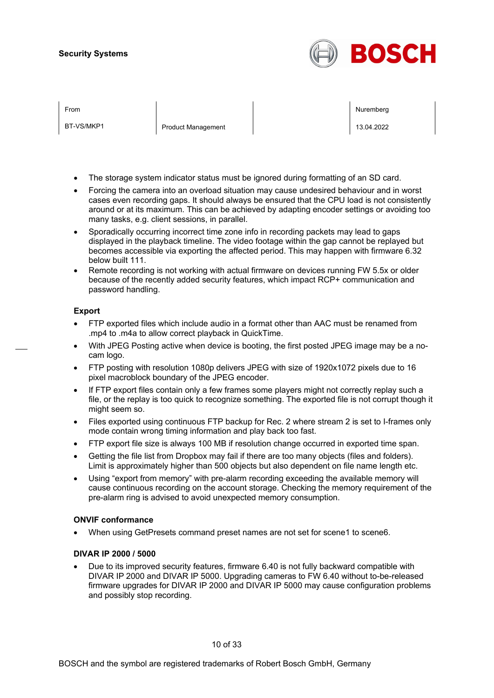

BT-VS/MKP1 Product Management 20022

From Nuremberg (Nuremberg ) and the contract of the contract of the contract of the contract of the contract of the contract of the contract of the contract of the contract of the contract of the contract of the contract o

- The storage system indicator status must be ignored during formatting of an SD card.
- Forcing the camera into an overload situation may cause undesired behaviour and in worst cases even recording gaps. It should always be ensured that the CPU load is not consistently around or at its maximum. This can be achieved by adapting encoder settings or avoiding too many tasks, e.g. client sessions, in parallel.
- Sporadically occurring incorrect time zone info in recording packets may lead to gaps displayed in the playback timeline. The video footage within the gap cannot be replayed but becomes accessible via exporting the affected period. This may happen with firmware 6.32 below built 111.
- Remote recording is not working with actual firmware on devices running FW 5.5x or older because of the recently added security features, which impact RCP+ communication and password handling.

#### **Export**

- FTP exported files which include audio in a format other than AAC must be renamed from .mp4 to .m4a to allow correct playback in QuickTime.
- With JPEG Posting active when device is booting, the first posted JPEG image may be a nocam logo.
- FTP posting with resolution 1080p delivers JPEG with size of 1920x1072 pixels due to 16 pixel macroblock boundary of the JPEG encoder.
- If FTP export files contain only a few frames some players might not correctly replay such a file, or the replay is too quick to recognize something. The exported file is not corrupt though it might seem so.
- Files exported using continuous FTP backup for Rec. 2 where stream 2 is set to I-frames only mode contain wrong timing information and play back too fast.
- FTP export file size is always 100 MB if resolution change occurred in exported time span.
- Getting the file list from Dropbox may fail if there are too many objects (files and folders). Limit is approximately higher than 500 objects but also dependent on file name length etc.
- Using "export from memory" with pre-alarm recording exceeding the available memory will cause continuous recording on the account storage. Checking the memory requirement of the pre-alarm ring is advised to avoid unexpected memory consumption.

#### **ONVIF conformance**

• When using GetPresets command preset names are not set for scene1 to scene6.

#### **DIVAR IP 2000 / 5000**

• Due to its improved security features, firmware 6.40 is not fully backward compatible with DIVAR IP 2000 and DIVAR IP 5000. Upgrading cameras to FW 6.40 without to-be-released firmware upgrades for DIVAR IP 2000 and DIVAR IP 5000 may cause configuration problems and possibly stop recording.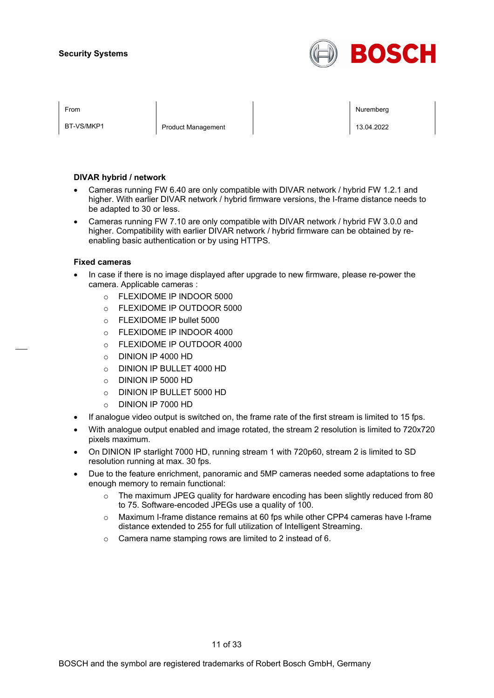

BT-VS/MKP1 Product Management 20022

From Nuremberg (Nuremberg ) and the contract of the contract of the contract of the contract of the contract of the contract of the contract of the contract of the contract of the contract of the contract of the contract o

#### **DIVAR hybrid / network**

- Cameras running FW 6.40 are only compatible with DIVAR network / hybrid FW 1.2.1 and higher. With earlier DIVAR network / hybrid firmware versions, the I-frame distance needs to be adapted to 30 or less.
- Cameras running FW 7.10 are only compatible with DIVAR network / hybrid FW 3.0.0 and higher. Compatibility with earlier DIVAR network / hybrid firmware can be obtained by reenabling basic authentication or by using HTTPS.

#### **Fixed cameras**

- In case if there is no image displayed after upgrade to new firmware, please re-power the camera. Applicable cameras :
	- o FLEXIDOME IP INDOOR 5000
	- o FLEXIDOME IP OUTDOOR 5000
	- o FLEXIDOME IP bullet 5000
	- o FLEXIDOME IP INDOOR 4000
	- o FLEXIDOME IP OUTDOOR 4000
	- o DINION IP 4000 HD
	- o DINION IP BULLET 4000 HD
	- o DINION IP 5000 HD
	- o DINION IP BULLET 5000 HD
	- o DINION IP 7000 HD
- If analogue video output is switched on, the frame rate of the first stream is limited to 15 fps.
- With analogue output enabled and image rotated, the stream 2 resolution is limited to 720x720 pixels maximum.
- On DINION IP starlight 7000 HD, running stream 1 with 720p60, stream 2 is limited to SD resolution running at max. 30 fps.
- Due to the feature enrichment, panoramic and 5MP cameras needed some adaptations to free enough memory to remain functional:
	- $\circ$  The maximum JPEG quality for hardware encoding has been slightly reduced from 80 to 75. Software-encoded JPEGs use a quality of 100.
	- o Maximum I-frame distance remains at 60 fps while other CPP4 cameras have I-frame distance extended to 255 for full utilization of Intelligent Streaming.
	- o Camera name stamping rows are limited to 2 instead of 6.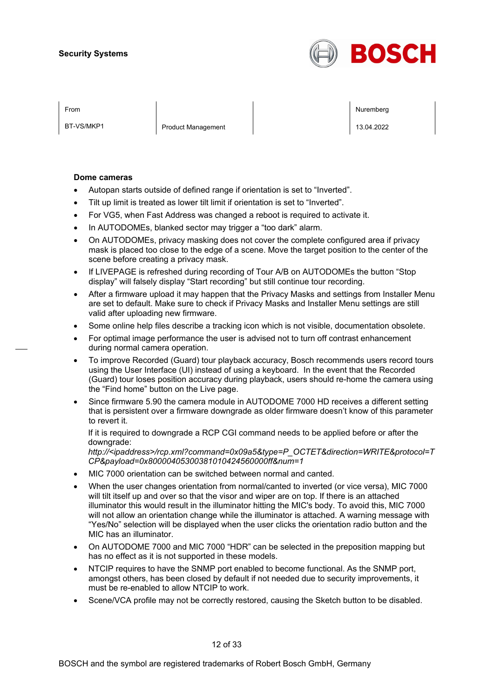

BT-VS/MKP1 Product Management 20022

From Nuremberg (Nuremberg ) and the contract of the contract of the contract of the contract of the contract of the contract of the contract of the contract of the contract of the contract of the contract of the contract o

#### **Dome cameras**

- Autopan starts outside of defined range if orientation is set to "Inverted".
- Tilt up limit is treated as lower tilt limit if orientation is set to "Inverted".
- For VG5, when Fast Address was changed a reboot is required to activate it.
- In AUTODOMEs, blanked sector may trigger a "too dark" alarm.
- On AUTODOMEs, privacy masking does not cover the complete configured area if privacy mask is placed too close to the edge of a scene. Move the target position to the center of the scene before creating a privacy mask.
- If LIVEPAGE is refreshed during recording of Tour A/B on AUTODOMEs the button "Stop display" will falsely display "Start recording" but still continue tour recording.
- After a firmware upload it may happen that the Privacy Masks and settings from Installer Menu are set to default. Make sure to check if Privacy Masks and Installer Menu settings are still valid after uploading new firmware.
- Some online help files describe a tracking icon which is not visible, documentation obsolete.
- For optimal image performance the user is advised not to turn off contrast enhancement during normal camera operation.
- To improve Recorded (Guard) tour playback accuracy, Bosch recommends users record tours using the User Interface (UI) instead of using a keyboard. In the event that the Recorded (Guard) tour loses position accuracy during playback, users should re-home the camera using the "Find home" button on the Live page.
- Since firmware 5.90 the camera module in AUTODOME 7000 HD receives a different setting that is persistent over a firmware downgrade as older firmware doesn't know of this parameter to revert it.

If it is required to downgrade a RCP CGI command needs to be applied before or after the downgrade:

*http://<ipaddress>/rcp.xml?command=0x09a5&type=P\_OCTET&direction=WRITE&protocol=T CP&payload=0x80000405300381010424560000ff&num=1*

- MIC 7000 orientation can be switched between normal and canted.
- When the user changes orientation from normal/canted to inverted (or vice versa), MIC 7000 will tilt itself up and over so that the visor and wiper are on top. If there is an attached illuminator this would result in the illuminator hitting the MIC's body. To avoid this, MIC 7000 will not allow an orientation change while the illuminator is attached. A warning message with "Yes/No" selection will be displayed when the user clicks the orientation radio button and the MIC has an illuminator.
- On AUTODOME 7000 and MIC 7000 "HDR" can be selected in the preposition mapping but has no effect as it is not supported in these models.
- NTCIP requires to have the SNMP port enabled to become functional. As the SNMP port, amongst others, has been closed by default if not needed due to security improvements, it must be re-enabled to allow NTCIP to work.
- Scene/VCA profile may not be correctly restored, causing the Sketch button to be disabled.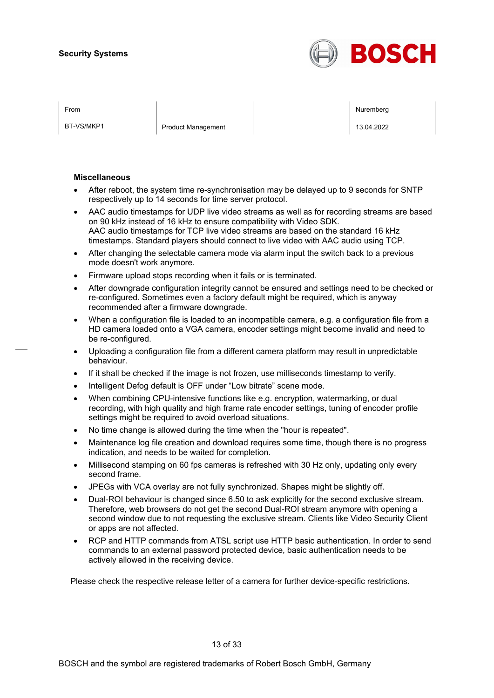

BT-VS/MKP1 Product Management 20022

From Nuremberg (Nuremberg ) and the contract of the contract of the contract of the contract of the contract of the contract of the contract of the contract of the contract of the contract of the contract of the contract o

#### **Miscellaneous**

- After reboot, the system time re-synchronisation may be delayed up to 9 seconds for SNTP respectively up to 14 seconds for time server protocol.
- AAC audio timestamps for UDP live video streams as well as for recording streams are based on 90 kHz instead of 16 kHz to ensure compatibility with Video SDK. AAC audio timestamps for TCP live video streams are based on the standard 16 kHz timestamps. Standard players should connect to live video with AAC audio using TCP.
- After changing the selectable camera mode via alarm input the switch back to a previous mode doesn't work anymore.
- Firmware upload stops recording when it fails or is terminated.
- After downgrade configuration integrity cannot be ensured and settings need to be checked or re-configured. Sometimes even a factory default might be required, which is anyway recommended after a firmware downgrade.
- When a configuration file is loaded to an incompatible camera, e.g. a configuration file from a HD camera loaded onto a VGA camera, encoder settings might become invalid and need to be re-configured.
- Uploading a configuration file from a different camera platform may result in unpredictable behaviour.
- If it shall be checked if the image is not frozen, use milliseconds timestamp to verify.
- Intelligent Defog default is OFF under "Low bitrate" scene mode.
- When combining CPU-intensive functions like e.g. encryption, watermarking, or dual recording, with high quality and high frame rate encoder settings, tuning of encoder profile settings might be required to avoid overload situations.
- No time change is allowed during the time when the "hour is repeated".
- Maintenance log file creation and download requires some time, though there is no progress indication, and needs to be waited for completion.
- Millisecond stamping on 60 fps cameras is refreshed with 30 Hz only, updating only every second frame.
- JPEGs with VCA overlay are not fully synchronized. Shapes might be slightly off.
- Dual-ROI behaviour is changed since 6.50 to ask explicitly for the second exclusive stream. Therefore, web browsers do not get the second Dual-ROI stream anymore with opening a second window due to not requesting the exclusive stream. Clients like Video Security Client or apps are not affected.
- RCP and HTTP commands from ATSL script use HTTP basic authentication. In order to send commands to an external password protected device, basic authentication needs to be actively allowed in the receiving device.

Please check the respective release letter of a camera for further device-specific restrictions.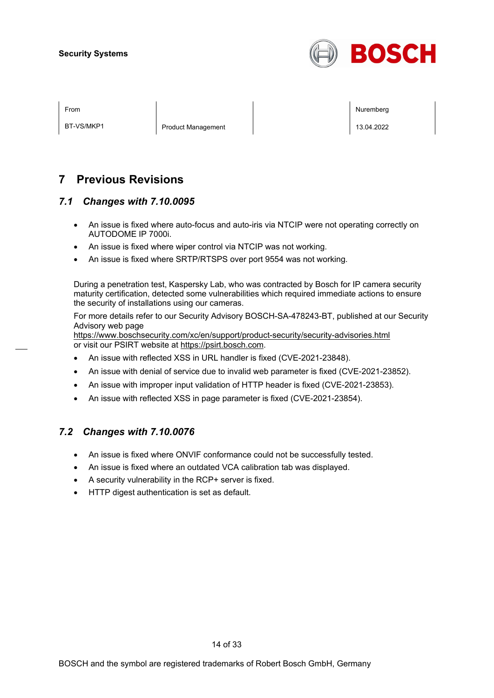

BT-VS/MKP1 Product Management 20022

From Nuremberg (Nuremberg ) and the contract of the contract of the contract of the contract of the contract of the contract of the contract of the contract of the contract of the contract of the contract of the contract o

## **7 Previous Revisions**

## *7.1 Changes with 7.10.0095*

- An issue is fixed where auto-focus and auto-iris via NTCIP were not operating correctly on AUTODOME IP 7000i.
- An issue is fixed where wiper control via NTCIP was not working.
- An issue is fixed where SRTP/RTSPS over port 9554 was not working.

During a penetration test, Kaspersky Lab, who was contracted by Bosch for IP camera security maturity certification, detected some vulnerabilities which required immediate actions to ensure the security of installations using our cameras.

For more details refer to our Security Advisory BOSCH-SA-478243-BT, published at our Security Advisory web page

<https://www.boschsecurity.com/xc/en/support/product-security/security-advisories.html> or visit our PSIRT website at [https://psirt.bosch.com.](https://psirt.bosch.com/)

- An issue with reflected XSS in URL handler is fixed (CVE-2021-23848).
- An issue with denial of service due to invalid web parameter is fixed (CVE-2021-23852).
- An issue with improper input validation of HTTP header is fixed (CVE-2021-23853).
- An issue with reflected XSS in page parameter is fixed (CVE-2021-23854).

## *7.2 Changes with 7.10.0076*

- An issue is fixed where ONVIF conformance could not be successfully tested.
- An issue is fixed where an outdated VCA calibration tab was displayed.
- A security vulnerability in the RCP+ server is fixed.
- HTTP digest authentication is set as default.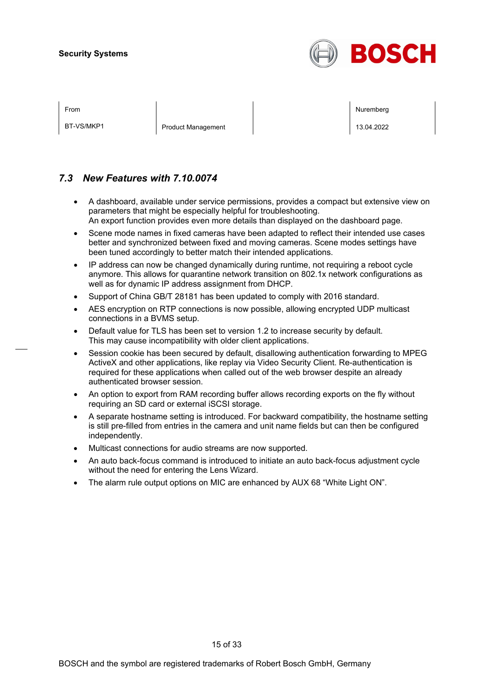

BT-VS/MKP1 Product Management 20022

From Nuremberg (Nuremberg ) and the contract of the contract of the contract of the contract of the contract of the contract of the contract of the contract of the contract of the contract of the contract of the contract o

## *7.3 New Features with 7.10.0074*

- A dashboard, available under service permissions, provides a compact but extensive view on parameters that might be especially helpful for troubleshooting. An export function provides even more details than displayed on the dashboard page.
- Scene mode names in fixed cameras have been adapted to reflect their intended use cases better and synchronized between fixed and moving cameras. Scene modes settings have been tuned accordingly to better match their intended applications.
- IP address can now be changed dynamically during runtime, not requiring a reboot cycle anymore. This allows for quarantine network transition on 802.1x network configurations as well as for dynamic IP address assignment from DHCP.
- Support of China GB/T 28181 has been updated to comply with 2016 standard.
- AES encryption on RTP connections is now possible, allowing encrypted UDP multicast connections in a BVMS setup.
- Default value for TLS has been set to version 1.2 to increase security by default. This may cause incompatibility with older client applications.
- Session cookie has been secured by default, disallowing authentication forwarding to MPEG ActiveX and other applications, like replay via Video Security Client. Re-authentication is required for these applications when called out of the web browser despite an already authenticated browser session.
- An option to export from RAM recording buffer allows recording exports on the fly without requiring an SD card or external iSCSI storage.
- A separate hostname setting is introduced. For backward compatibility, the hostname setting is still pre-filled from entries in the camera and unit name fields but can then be configured independently.
- Multicast connections for audio streams are now supported.
- An auto back-focus command is introduced to initiate an auto back-focus adjustment cycle without the need for entering the Lens Wizard.
- The alarm rule output options on MIC are enhanced by AUX 68 "White Light ON".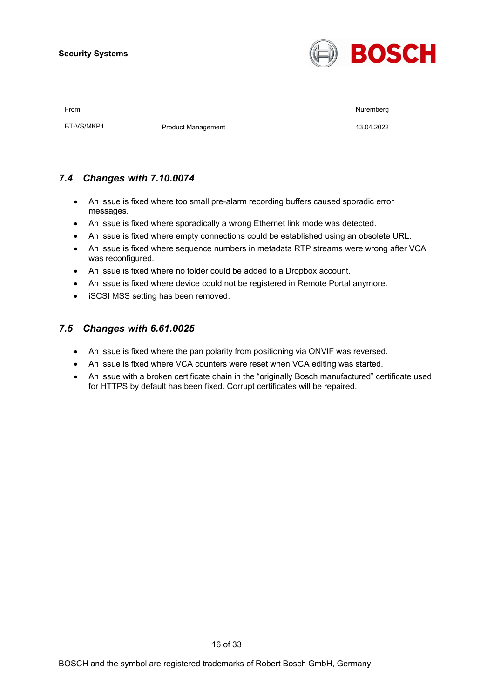

BT-VS/MKP1 Product Management 20022

From Nuremberg (Nuremberg ) and the contract of the contract of the contract of the contract of the contract of the contract of the contract of the contract of the contract of the contract of the contract of the contract o

## *7.4 Changes with 7.10.0074*

- An issue is fixed where too small pre-alarm recording buffers caused sporadic error messages.
- An issue is fixed where sporadically a wrong Ethernet link mode was detected.
- An issue is fixed where empty connections could be established using an obsolete URL.
- An issue is fixed where sequence numbers in metadata RTP streams were wrong after VCA was reconfigured.
- An issue is fixed where no folder could be added to a Dropbox account.
- An issue is fixed where device could not be registered in Remote Portal anymore.
- iSCSI MSS setting has been removed.

## *7.5 Changes with 6.61.0025*

- An issue is fixed where the pan polarity from positioning via ONVIF was reversed.
- An issue is fixed where VCA counters were reset when VCA editing was started.
- An issue with a broken certificate chain in the "originally Bosch manufactured" certificate used for HTTPS by default has been fixed. Corrupt certificates will be repaired.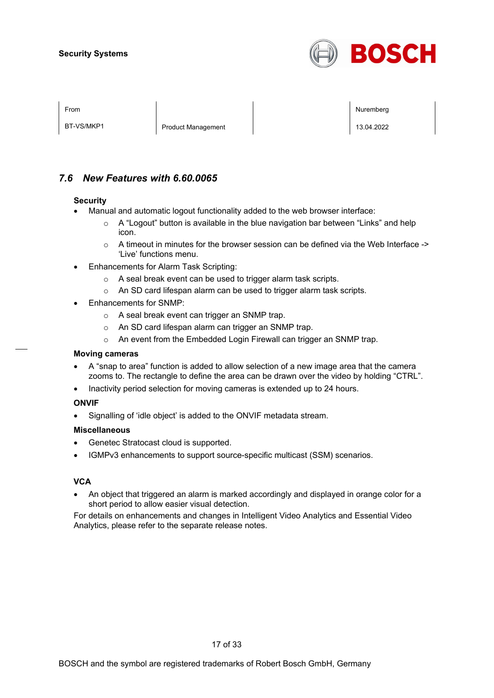

BT-VS/MKP1 Product Management 20022

From Nuremberg (Nuremberg ) and the contract of the contract of the contract of the contract of the contract of the contract of the contract of the contract of the contract of the contract of the contract of the contract o

## *7.6 New Features with 6.60.0065*

#### **Security**

- Manual and automatic logout functionality added to the web browser interface:
	- $\circ$  A "Logout" button is available in the blue navigation bar between "Links" and help icon.
	- $\circ$  A timeout in minutes for the browser session can be defined via the Web Interface -> 'Live' functions menu.
- Enhancements for Alarm Task Scripting:
	- o A seal break event can be used to trigger alarm task scripts.
	- o An SD card lifespan alarm can be used to trigger alarm task scripts.
- Enhancements for SNMP:
	- o A seal break event can trigger an SNMP trap.
	- o An SD card lifespan alarm can trigger an SNMP trap.
	- o An event from the Embedded Login Firewall can trigger an SNMP trap.

#### **Moving cameras**

- A "snap to area" function is added to allow selection of a new image area that the camera zooms to. The rectangle to define the area can be drawn over the video by holding "CTRL".
- Inactivity period selection for moving cameras is extended up to 24 hours.

#### **ONVIF**

• Signalling of 'idle object' is added to the ONVIF metadata stream.

#### **Miscellaneous**

- Genetec Stratocast cloud is supported.
- IGMPv3 enhancements to support source-specific multicast (SSM) scenarios.

#### **VCA**

• An object that triggered an alarm is marked accordingly and displayed in orange color for a short period to allow easier visual detection.

For details on enhancements and changes in Intelligent Video Analytics and Essential Video Analytics, please refer to the separate release notes.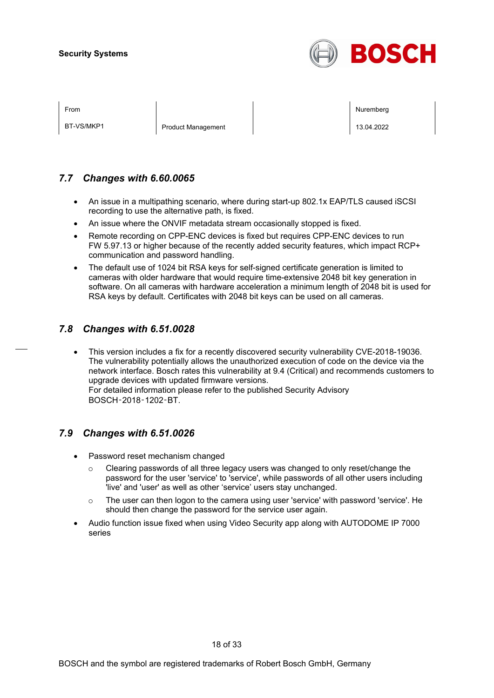

| I |  |
|---|--|
|---|--|

BT-VS/MKP1 Product Management 20022

From Nuremberg (Nuremberg ) and the contract of the contract of the contract of the contract of the contract of the contract of the contract of the contract of the contract of the contract of the contract of the contract o

## *7.7 Changes with 6.60.0065*

- An issue in a multipathing scenario, where during start-up 802.1x EAP/TLS caused iSCSI recording to use the alternative path, is fixed.
- An issue where the ONVIF metadata stream occasionally stopped is fixed.
- Remote recording on CPP-ENC devices is fixed but requires CPP-ENC devices to run FW 5.97.13 or higher because of the recently added security features, which impact RCP+ communication and password handling.
- The default use of 1024 bit RSA keys for self-signed certificate generation is limited to cameras with older hardware that would require time-extensive 2048 bit key generation in software. On all cameras with hardware acceleration a minimum length of 2048 bit is used for RSA keys by default. Certificates with 2048 bit keys can be used on all cameras.

## *7.8 Changes with 6.51.0028*

• This version includes a fix for a recently discovered security vulnerability CVE-2018-19036. The vulnerability potentially allows the unauthorized execution of code on the device via the network interface. Bosch rates this vulnerability at 9.4 (Critical) and recommends customers to upgrade devices with updated firmware versions. For detailed information please refer to the published Security Advisory BOSCH‑2018‑1202‑BT.

## *7.9 Changes with 6.51.0026*

- Password reset mechanism changed
	- $\circ$  Clearing passwords of all three legacy users was changed to only reset/change the password for the user 'service' to 'service', while passwords of all other users including 'live' and 'user' as well as other 'service' users stay unchanged.
	- $\circ$  The user can then logon to the camera using user 'service' with password 'service'. He should then change the password for the service user again.
- Audio function issue fixed when using Video Security app along with AUTODOME IP 7000 series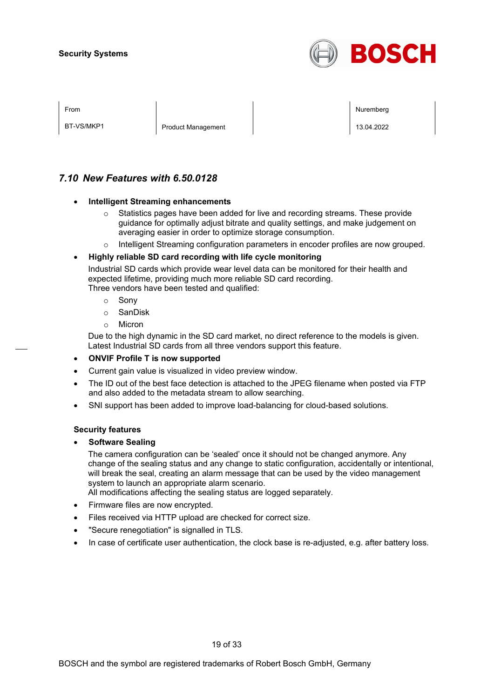

BT-VS/MKP1 Product Management 20022

From Nuremberg (Nuremberg ) and the contract of the contract of the contract of the contract of the contract of the contract of the contract of the contract of the contract of the contract of the contract of the contract o

## *7.10 New Features with 6.50.0128*

#### • **Intelligent Streaming enhancements**

- $\circ$  Statistics pages have been added for live and recording streams. These provide guidance for optimally adjust bitrate and quality settings, and make judgement on averaging easier in order to optimize storage consumption.
- o Intelligent Streaming configuration parameters in encoder profiles are now grouped.

#### • **Highly reliable SD card recording with life cycle monitoring**

Industrial SD cards which provide wear level data can be monitored for their health and expected lifetime, providing much more reliable SD card recording. Three vendors have been tested and qualified:

- o Sony
- o SanDisk
- o Micron

Due to the high dynamic in the SD card market, no direct reference to the models is given. Latest Industrial SD cards from all three vendors support this feature.

- **ONVIF Profile T is now supported**
- Current gain value is visualized in video preview window.
- The ID out of the best face detection is attached to the JPEG filename when posted via FTP and also added to the metadata stream to allow searching.
- SNI support has been added to improve load-balancing for cloud-based solutions.

#### **Security features**

• **Software Sealing**

The camera configuration can be 'sealed' once it should not be changed anymore. Any change of the sealing status and any change to static configuration, accidentally or intentional, will break the seal, creating an alarm message that can be used by the video management system to launch an appropriate alarm scenario.

All modifications affecting the sealing status are logged separately.

- Firmware files are now encrypted.
- Files received via HTTP upload are checked for correct size.
- "Secure renegotiation" is signalled in TLS.
- In case of certificate user authentication, the clock base is re-adjusted, e.g. after battery loss.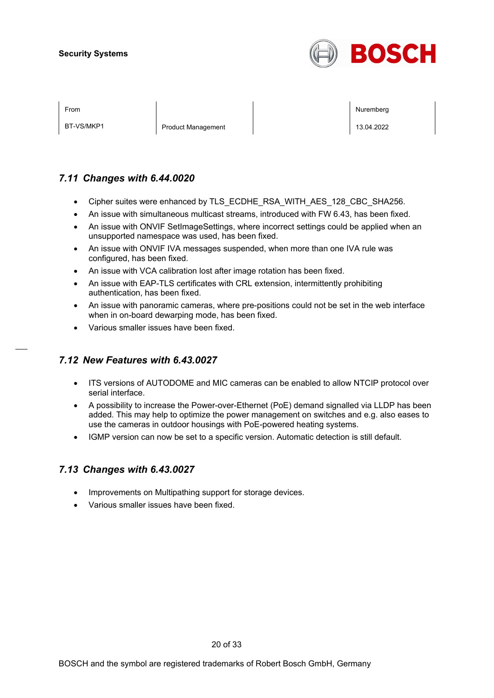

BT-VS/MKP1 Product Management 20022

From Nuremberg (Nuremberg ) and the contract of the contract of the contract of the contract of the contract of the contract of the contract of the contract of the contract of the contract of the contract of the contract o

## *7.11 Changes with 6.44.0020*

- Cipher suites were enhanced by TLS\_ECDHE\_RSA\_WITH\_AES\_128\_CBC\_SHA256.
- An issue with simultaneous multicast streams, introduced with FW 6.43, has been fixed.
- An issue with ONVIF SetImageSettings, where incorrect settings could be applied when an unsupported namespace was used, has been fixed.
- An issue with ONVIF IVA messages suspended, when more than one IVA rule was configured, has been fixed.
- An issue with VCA calibration lost after image rotation has been fixed.
- An issue with EAP-TLS certificates with CRL extension, intermittently prohibiting authentication, has been fixed.
- An issue with panoramic cameras, where pre-positions could not be set in the web interface when in on-board dewarping mode, has been fixed.
- Various smaller issues have been fixed.

## *7.12 New Features with 6.43.0027*

- ITS versions of AUTODOME and MIC cameras can be enabled to allow NTCIP protocol over serial interface.
- A possibility to increase the Power-over-Ethernet (PoE) demand signalled via LLDP has been added. This may help to optimize the power management on switches and e.g. also eases to use the cameras in outdoor housings with PoE-powered heating systems.
- IGMP version can now be set to a specific version. Automatic detection is still default.

## *7.13 Changes with 6.43.0027*

- Improvements on Multipathing support for storage devices.
- Various smaller issues have been fixed.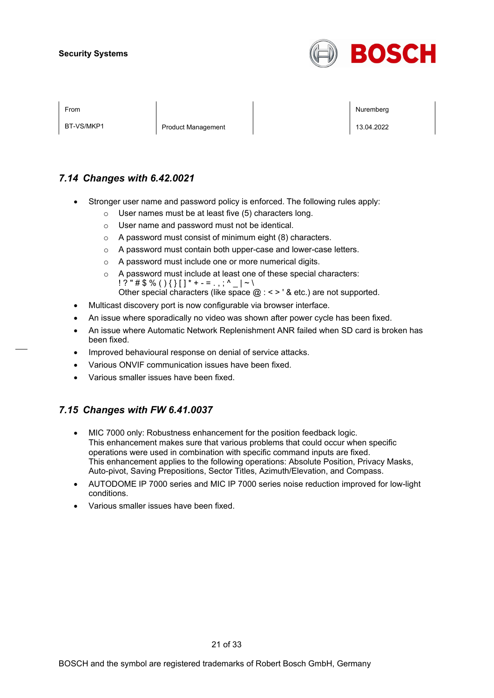

BT-VS/MKP1 Product Management 20022

From Nuremberg (Nuremberg ) and the contract of the contract of the contract of the contract of the contract of the contract of the contract of the contract of the contract of the contract of the contract of the contract o

## *7.14 Changes with 6.42.0021*

- Stronger user name and password policy is enforced. The following rules apply:
	- o User names must be at least five (5) characters long.
	- o User name and password must not be identical.
	- o A password must consist of minimum eight (8) characters.
	- o A password must contain both upper-case and lower-case letters.
	- o A password must include one or more numerical digits.
	- o A password must include at least one of these special characters:  $! ? " \# \$ \% () \$   $] \$   $" + - = . , ; \' \_ | \sim \$ Other special characters (like space  $@:<>$  ' & etc.) are not supported.
- Multicast discovery port is now configurable via browser interface.
- An issue where sporadically no video was shown after power cycle has been fixed.
- An issue where Automatic Network Replenishment ANR failed when SD card is broken has been fixed.
- Improved behavioural response on denial of service attacks.
- Various ONVIF communication issues have been fixed.
- Various smaller issues have been fixed.

## *7.15 Changes with FW 6.41.0037*

- MIC 7000 only: Robustness enhancement for the position feedback logic. This enhancement makes sure that various problems that could occur when specific operations were used in combination with specific command inputs are fixed. This enhancement applies to the following operations: Absolute Position, Privacy Masks, Auto-pivot, Saving Prepositions, Sector Titles, Azimuth/Elevation, and Compass.
- AUTODOME IP 7000 series and MIC IP 7000 series noise reduction improved for low-light conditions.
- Various smaller issues have been fixed.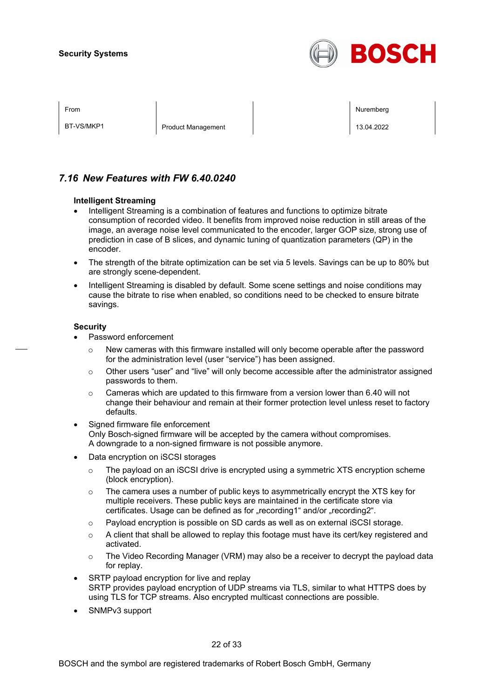

BT-VS/MKP1 Product Management 20022

From Nuremberg (Nuremberg ) and the contract of the contract of the contract of the contract of the contract of the contract of the contract of the contract of the contract of the contract of the contract of the contract o

## *7.16 New Features with FW 6.40.0240*

#### **Intelligent Streaming**

- Intelligent Streaming is a combination of features and functions to optimize bitrate consumption of recorded video. It benefits from improved noise reduction in still areas of the image, an average noise level communicated to the encoder, larger GOP size, strong use of prediction in case of B slices, and dynamic tuning of quantization parameters (QP) in the encoder.
- The strength of the bitrate optimization can be set via 5 levels. Savings can be up to 80% but are strongly scene-dependent.
- Intelligent Streaming is disabled by default. Some scene settings and noise conditions may cause the bitrate to rise when enabled, so conditions need to be checked to ensure bitrate savings.

#### **Security**

- Password enforcement
	- $\circ$  New cameras with this firmware installed will only become operable after the password for the administration level (user "service") has been assigned.
	- $\circ$  Other users "user" and "live" will only become accessible after the administrator assigned passwords to them.
	- $\circ$  Cameras which are updated to this firmware from a version lower than 6.40 will not change their behaviour and remain at their former protection level unless reset to factory defaults.
- Signed firmware file enforcement Only Bosch-signed firmware will be accepted by the camera without compromises. A downgrade to a non-signed firmware is not possible anymore.
- Data encryption on iSCSI storages
	- $\circ$  The payload on an iSCSI drive is encrypted using a symmetric XTS encryption scheme (block encryption).
	- $\circ$  The camera uses a number of public keys to asymmetrically encrypt the XTS key for multiple receivers. These public keys are maintained in the certificate store via certificates. Usage can be defined as for "recording1" and/or "recording2".
	- o Payload encryption is possible on SD cards as well as on external iSCSI storage.
	- $\circ$  A client that shall be allowed to replay this footage must have its cert/key registered and activated.
	- $\circ$  The Video Recording Manager (VRM) may also be a receiver to decrypt the payload data for replay.
- SRTP payload encryption for live and replay SRTP provides payload encryption of UDP streams via TLS, similar to what HTTPS does by using TLS for TCP streams. Also encrypted multicast connections are possible.
- SNMPv3 support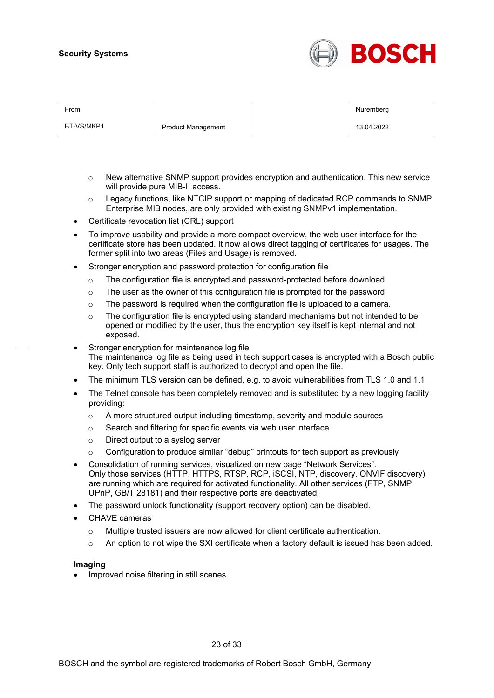

BT-VS/MKP1 Product Management 20022

From Nuremberg (Nuremberg ) and the contract of the contract of the contract of the contract of the contract of the contract of the contract of the contract of the contract of the contract of the contract of the contract o

- $\circ$  New alternative SNMP support provides encryption and authentication. This new service will provide pure MIB-II access.
- $\circ$  Legacy functions, like NTCIP support or mapping of dedicated RCP commands to SNMP Enterprise MIB nodes, are only provided with existing SNMPv1 implementation.
- Certificate revocation list (CRL) support
- To improve usability and provide a more compact overview, the web user interface for the certificate store has been updated. It now allows direct tagging of certificates for usages. The former split into two areas (Files and Usage) is removed.
- Stronger encryption and password protection for configuration file
	- o The configuration file is encrypted and password-protected before download.
	- o The user as the owner of this configuration file is prompted for the password.
	- o The password is required when the configuration file is uploaded to a camera.
	- $\circ$  The configuration file is encrypted using standard mechanisms but not intended to be opened or modified by the user, thus the encryption key itself is kept internal and not exposed.
- Stronger encryption for maintenance log file The maintenance log file as being used in tech support cases is encrypted with a Bosch public key. Only tech support staff is authorized to decrypt and open the file.
- The minimum TLS version can be defined, e.g. to avoid vulnerabilities from TLS 1.0 and 1.1.
- The Telnet console has been completely removed and is substituted by a new logging facility providing:
	- $\circ$  A more structured output including timestamp, severity and module sources
	- o Search and filtering for specific events via web user interface
	- o Direct output to a syslog server
	- o Configuration to produce similar "debug" printouts for tech support as previously
- Consolidation of running services, visualized on new page "Network Services". Only those services (HTTP, HTTPS, RTSP, RCP, iSCSI, NTP, discovery, ONVIF discovery) are running which are required for activated functionality. All other services (FTP, SNMP, UPnP, GB/T 28181) and their respective ports are deactivated.
- The password unlock functionality (support recovery option) can be disabled.
- CHAVE cameras
	- $\circ$  Multiple trusted issuers are now allowed for client certificate authentication.
	- $\circ$  An option to not wipe the SXI certificate when a factory default is issued has been added.

#### **Imaging**

• Improved noise filtering in still scenes.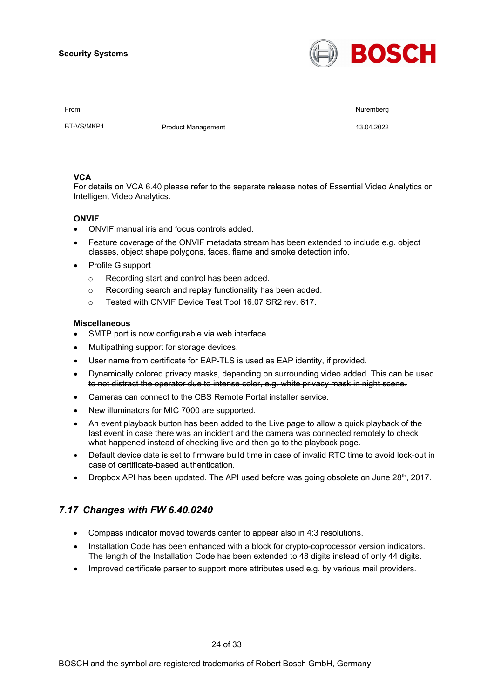

BT-VS/MKP1 Product Management 20022

From the second contract of the second contract of the second contract of the second contract of the second contract of the second contract of the second contract of the second contract of the second contract of the second

#### **VCA**

For details on VCA 6.40 please refer to the separate release notes of Essential Video Analytics or Intelligent Video Analytics.

#### **ONVIF**

- ONVIF manual iris and focus controls added.
- Feature coverage of the ONVIF metadata stream has been extended to include e.g. object classes, object shape polygons, faces, flame and smoke detection info.
- Profile G support
	- o Recording start and control has been added.
	- o Recording search and replay functionality has been added.
	- o Tested with ONVIF Device Test Tool 16.07 SR2 rev. 617.

#### **Miscellaneous**

- SMTP port is now configurable via web interface.
- Multipathing support for storage devices.
- User name from certificate for EAP-TLS is used as EAP identity, if provided.
- Dynamically colored privacy masks, depending on surrounding video added. This can be used to not distract the operator due to intense color, e.g. white privacy mask in night scene.
- Cameras can connect to the CBS Remote Portal installer service.
- New illuminators for MIC 7000 are supported.
- An event playback button has been added to the Live page to allow a quick playback of the last event in case there was an incident and the camera was connected remotely to check what happened instead of checking live and then go to the playback page.
- Default device date is set to firmware build time in case of invalid RTC time to avoid lock-out in case of certificate-based authentication.
- Dropbox API has been updated. The API used before was going obsolete on June 28<sup>th</sup>, 2017.

## *7.17 Changes with FW 6.40.0240*

- Compass indicator moved towards center to appear also in 4:3 resolutions.
- Installation Code has been enhanced with a block for crypto-coprocessor version indicators. The length of the Installation Code has been extended to 48 digits instead of only 44 digits.
- Improved certificate parser to support more attributes used e.g. by various mail providers.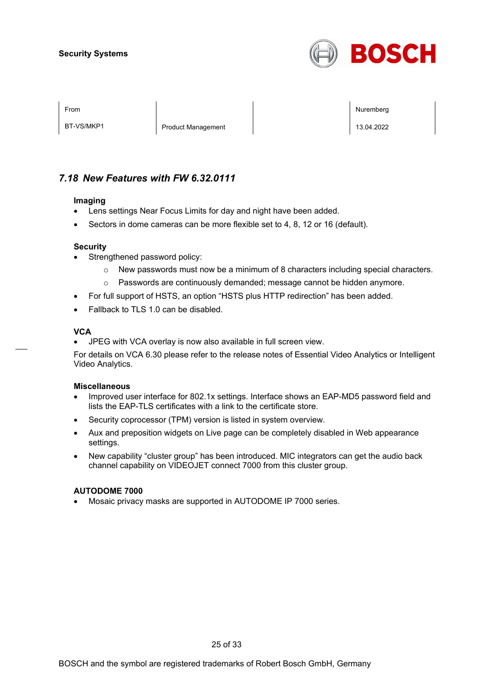

BT-VS/MKP1 Product Management 20022

From the second contract of the second contract of the second contract of the second contract of the second contract of the second contract of the second contract of the second contract of the second contract of the second

## *7.18 New Features with FW 6.32.0111*

#### **Imaging**

- Lens settings Near Focus Limits for day and night have been added.
- Sectors in dome cameras can be more flexible set to 4, 8, 12 or 16 (default).

#### **Security**

- Strengthened password policy:
	- $\circ$  New passwords must now be a minimum of 8 characters including special characters.
	- o Passwords are continuously demanded; message cannot be hidden anymore.
- For full support of HSTS, an option "HSTS plus HTTP redirection" has been added.
- Fallback to TLS 1.0 can be disabled.

#### **VCA**

• JPEG with VCA overlay is now also available in full screen view.

For details on VCA 6.30 please refer to the release notes of Essential Video Analytics or Intelligent Video Analytics.

#### **Miscellaneous**

- Improved user interface for 802.1x settings. Interface shows an EAP-MD5 password field and lists the EAP-TLS certificates with a link to the certificate store.
- Security coprocessor (TPM) version is listed in system overview.
- Aux and preposition widgets on Live page can be completely disabled in Web appearance settings.
- New capability "cluster group" has been introduced. MIC integrators can get the audio back channel capability on VIDEOJET connect 7000 from this cluster group.

#### **AUTODOME 7000**

• Mosaic privacy masks are supported in AUTODOME IP 7000 series.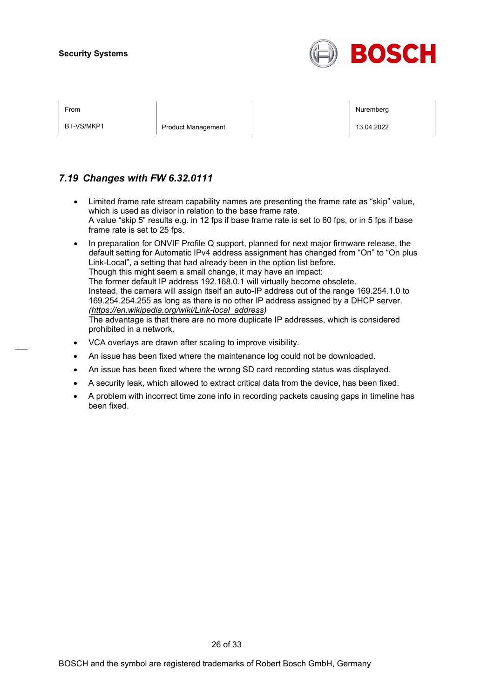

BT-VS/MKP1 Product Management 20022

From the second contract of the second contract of the second contract of the second contract of the second contract of the second contract of the second contract of the second contract of the second contract of the second

## *7.19 Changes with FW 6.32.0111*

- Limited frame rate stream capability names are presenting the frame rate as "skip" value, which is used as divisor in relation to the base frame rate. A value "skip 5" results e.g. in 12 fps if base frame rate is set to 60 fps, or in 5 fps if base frame rate is set to 25 fps.
- In preparation for ONVIF Profile Q support, planned for next major firmware release, the default setting for Automatic IPv4 address assignment has changed from "On" to "On plus Link-Local", a setting that had already been in the option list before. Though this might seem a small change, it may have an impact: The former default IP address 192.168.0.1 will virtually become obsolete. Instead, the camera will assign itself an auto-IP address out of the range 169.254.1.0 to 169.254.254.255 as long as there is no other IP address assigned by a DHCP server. *[\(https://en.wikipedia.org/wiki/Link-local\\_address\)](https://en.wikipedia.org/wiki/Link-local_address)* The advantage is that there are no more duplicate IP addresses, which is considered prohibited in a network.
- VCA overlays are drawn after scaling to improve visibility.
- An issue has been fixed where the maintenance log could not be downloaded.
- An issue has been fixed where the wrong SD card recording status was displayed.
- A security leak, which allowed to extract critical data from the device, has been fixed.
- A problem with incorrect time zone info in recording packets causing gaps in timeline has been fixed.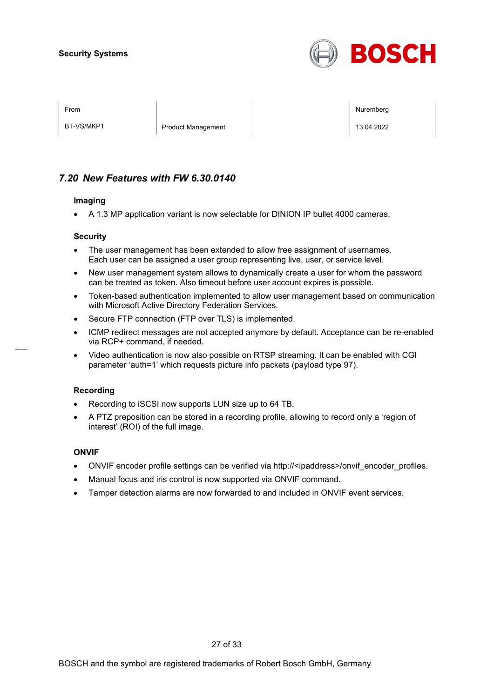

BT-VS/MKP1 Product Management 20022

From the second contract of the second contract of the second contract of the second contract of the second contract of the second contract of the second contract of the second contract of the second contract of the second

## *7.20 New Features with FW 6.30.0140*

#### **Imaging**

• A 1.3 MP application variant is now selectable for DINION IP bullet 4000 cameras.

#### **Security**

- The user management has been extended to allow free assignment of usernames. Each user can be assigned a user group representing live, user, or service level.
- New user management system allows to dynamically create a user for whom the password can be treated as token. Also timeout before user account expires is possible.
- Token-based authentication implemented to allow user management based on communication with Microsoft Active Directory Federation Services.
- Secure FTP connection (FTP over TLS) is implemented.
- ICMP redirect messages are not accepted anymore by default. Acceptance can be re-enabled via RCP+ command, if needed.
- Video authentication is now also possible on RTSP streaming. It can be enabled with CGI parameter 'auth=1' which requests picture info packets (payload type 97).

#### **Recording**

- Recording to iSCSI now supports LUN size up to 64 TB.
- A PTZ preposition can be stored in a recording profile, allowing to record only a 'region of interest' (ROI) of the full image.

#### **ONVIF**

- ONVIF encoder profile settings can be verified via http://<ipaddress>/onvif\_encoder\_profiles.
- Manual focus and iris control is now supported via ONVIF command.
- Tamper detection alarms are now forwarded to and included in ONVIF event services.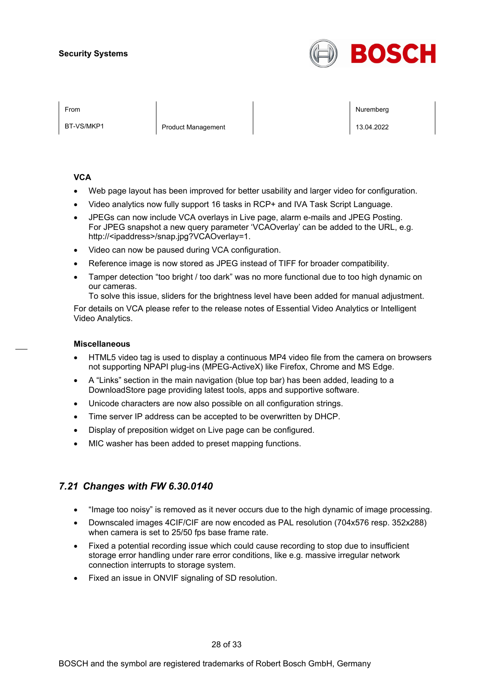

BT-VS/MKP1 Product Management 20022

From the second contract of the second contract of the second contract of the second contract of the second contract of the second contract of the second contract of the second contract of the second contract of the second

#### **VCA**

- Web page layout has been improved for better usability and larger video for configuration.
- Video analytics now fully support 16 tasks in RCP+ and IVA Task Script Language.
- JPEGs can now include VCA overlays in Live page, alarm e-mails and JPEG Posting. For JPEG snapshot a new query parameter 'VCAOverlay' can be added to the URL, e.g. http://<ipaddress>/snap.jpg?VCAOverlay=1.
- Video can now be paused during VCA configuration.
- Reference image is now stored as JPEG instead of TIFF for broader compatibility.
- Tamper detection "too bright / too dark" was no more functional due to too high dynamic on our cameras.

To solve this issue, sliders for the brightness level have been added for manual adjustment.

For details on VCA please refer to the release notes of Essential Video Analytics or Intelligent Video Analytics.

#### **Miscellaneous**

- HTML5 video tag is used to display a continuous MP4 video file from the camera on browsers not supporting NPAPI plug-ins (MPEG-ActiveX) like Firefox, Chrome and MS Edge.
- A "Links" section in the main navigation (blue top bar) has been added, leading to a DownloadStore page providing latest tools, apps and supportive software.
- Unicode characters are now also possible on all configuration strings.
- Time server IP address can be accepted to be overwritten by DHCP.
- Display of preposition widget on Live page can be configured.
- MIC washer has been added to preset mapping functions.

## *7.21 Changes with FW 6.30.0140*

- "Image too noisy" is removed as it never occurs due to the high dynamic of image processing.
- Downscaled images 4CIF/CIF are now encoded as PAL resolution (704x576 resp. 352x288) when camera is set to 25/50 fps base frame rate.
- Fixed a potential recording issue which could cause recording to stop due to insufficient storage error handling under rare error conditions, like e.g. massive irregular network connection interrupts to storage system.
- Fixed an issue in ONVIF signaling of SD resolution.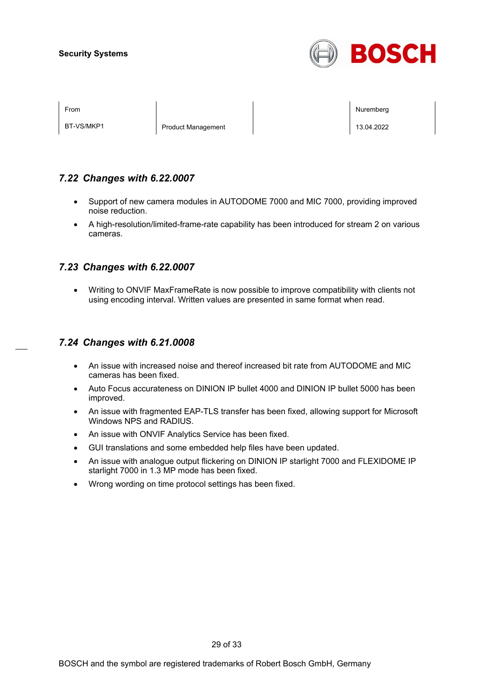

BT-VS/MKP1 Product Management | 13.04.2022

From the second contract of the second contract of the second contract of the second contract of the second contract of the second contract of the second contract of the second contract of the second contract of the second

## *7.22 Changes with 6.22.0007*

- Support of new camera modules in AUTODOME 7000 and MIC 7000, providing improved noise reduction.
- A high-resolution/limited-frame-rate capability has been introduced for stream 2 on various cameras.

## *7.23 Changes with 6.22.0007*

• Writing to ONVIF MaxFrameRate is now possible to improve compatibility with clients not using encoding interval. Written values are presented in same format when read.

## *7.24 Changes with 6.21.0008*

- An issue with increased noise and thereof increased bit rate from AUTODOME and MIC cameras has been fixed.
- Auto Focus accurateness on DINION IP bullet 4000 and DINION IP bullet 5000 has been improved.
- An issue with fragmented EAP-TLS transfer has been fixed, allowing support for Microsoft Windows NPS and RADIUS.
- An issue with ONVIF Analytics Service has been fixed.
- GUI translations and some embedded help files have been updated.
- An issue with analogue output flickering on DINION IP starlight 7000 and FLEXIDOME IP starlight 7000 in 1.3 MP mode has been fixed.
- Wrong wording on time protocol settings has been fixed.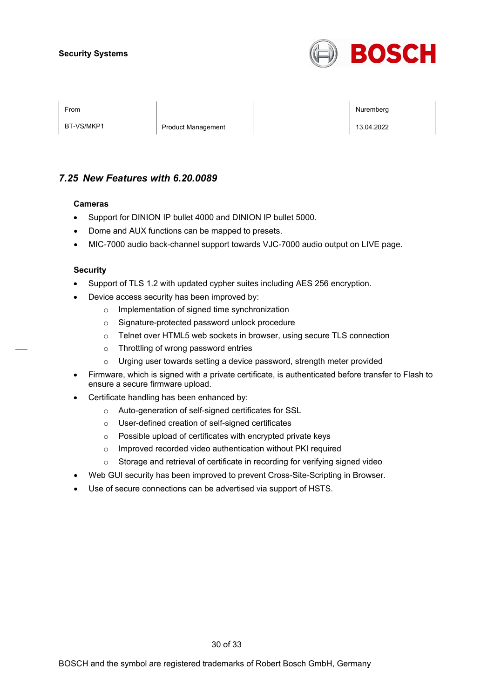

BT-VS/MKP1 Product Management 20022

From the second contract of the second contract of the second contract of the second contract of the second contract of the second contract of the second contract of the second contract of the second contract of the second

## *7.25 New Features with 6.20.0089*

#### **Cameras**

- Support for DINION IP bullet 4000 and DINION IP bullet 5000.
- Dome and AUX functions can be mapped to presets.
- MIC-7000 audio back-channel support towards VJC-7000 audio output on LIVE page.

#### **Security**

- Support of TLS 1.2 with updated cypher suites including AES 256 encryption.
- Device access security has been improved by:
	- o Implementation of signed time synchronization
	- o Signature-protected password unlock procedure
	- o Telnet over HTML5 web sockets in browser, using secure TLS connection
	- o Throttling of wrong password entries
	- o Urging user towards setting a device password, strength meter provided
- Firmware, which is signed with a private certificate, is authenticated before transfer to Flash to ensure a secure firmware upload.
- Certificate handling has been enhanced by:
	- o Auto-generation of self-signed certificates for SSL
	- o User-defined creation of self-signed certificates
	- o Possible upload of certificates with encrypted private keys
	- o Improved recorded video authentication without PKI required
	- o Storage and retrieval of certificate in recording for verifying signed video
- Web GUI security has been improved to prevent Cross-Site-Scripting in Browser.
- Use of secure connections can be advertised via support of HSTS.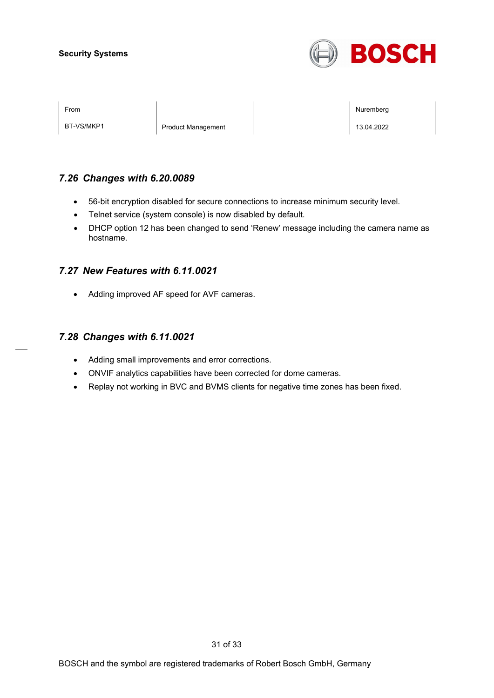

BT-VS/MKP1 Product Management 20022

From the second contract of the second contract of the second contract of the second contract of the second contract of the second contract of the second contract of the second contract of the second contract of the second

## *7.26 Changes with 6.20.0089*

- 56-bit encryption disabled for secure connections to increase minimum security level.
- Telnet service (system console) is now disabled by default.
- DHCP option 12 has been changed to send 'Renew' message including the camera name as hostname.

## *7.27 New Features with 6.11.0021*

• Adding improved AF speed for AVF cameras.

## *7.28 Changes with 6.11.0021*

- Adding small improvements and error corrections.
- ONVIF analytics capabilities have been corrected for dome cameras.
- Replay not working in BVC and BVMS clients for negative time zones has been fixed.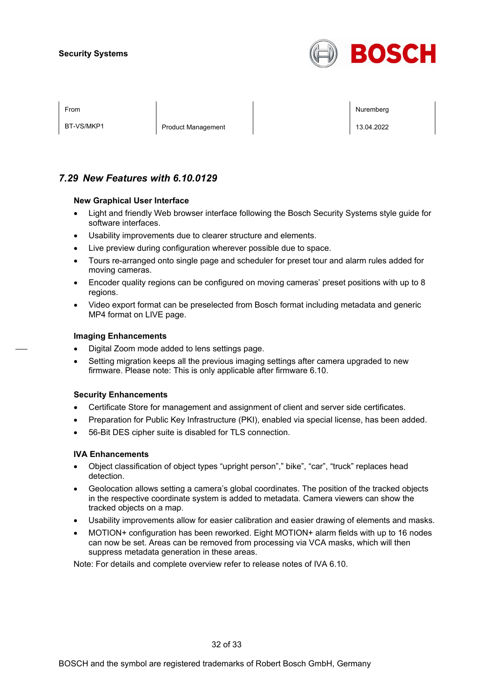

BT-VS/MKP1 Product Management 20022

From the second contract of the second contract of the second contract of the second contract of the second contract of the second contract of the second contract of the second contract of the second contract of the second

## *7.29 New Features with 6.10.0129*

#### **New Graphical User Interface**

- Light and friendly Web browser interface following the Bosch Security Systems style guide for software interfaces.
- Usability improvements due to clearer structure and elements.
- Live preview during configuration wherever possible due to space.
- Tours re-arranged onto single page and scheduler for preset tour and alarm rules added for moving cameras.
- Encoder quality regions can be configured on moving cameras' preset positions with up to 8 regions.
- Video export format can be preselected from Bosch format including metadata and generic MP4 format on LIVE page.

#### **Imaging Enhancements**

- Digital Zoom mode added to lens settings page.
- Setting migration keeps all the previous imaging settings after camera upgraded to new firmware. Please note: This is only applicable after firmware 6.10.

#### **Security Enhancements**

- Certificate Store for management and assignment of client and server side certificates.
- Preparation for Public Key Infrastructure (PKI), enabled via special license, has been added.
- 56-Bit DES cipher suite is disabled for TLS connection.

#### **IVA Enhancements**

- Object classification of object types "upright person"," bike", "car", "truck" replaces head detection.
- Geolocation allows setting a camera's global coordinates. The position of the tracked objects in the respective coordinate system is added to metadata. Camera viewers can show the tracked objects on a map.
- Usability improvements allow for easier calibration and easier drawing of elements and masks.
- MOTION+ configuration has been reworked. Eight MOTION+ alarm fields with up to 16 nodes can now be set. Areas can be removed from processing via VCA masks, which will then suppress metadata generation in these areas.

Note: For details and complete overview refer to release notes of IVA 6.10.